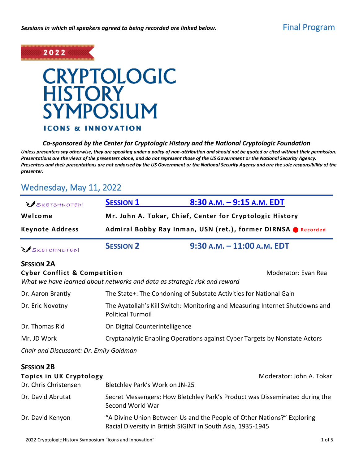

## **CRYPTOLOGIC HISTORY SYMPOSIUM ICONS & INNOVATION**

### *Co-sponsored by the Center for Cryptologic History and the National Cryptologic Foundation*

*Unless presenters say otherwise, they are speaking under a policy of non-attribution and should not be quoted or cited without their permission. Presentations are the views of the presenters alone, and do not represent those of the US Government or the National Security Agency. Presenters and their presentations are not endorsed by the US Government or the National Security Agency and are the sole responsibility of the presenter.*

## Wednesday, May 11, 2022

| SKETCHNOTED!                                     | <b>SESSION 1</b>                                                                                         | $8:30$ A.M. $-9:15$ A.M. EDT                                                                     |  |  |
|--------------------------------------------------|----------------------------------------------------------------------------------------------------------|--------------------------------------------------------------------------------------------------|--|--|
| Welcome                                          | Mr. John A. Tokar, Chief, Center for Cryptologic History                                                 |                                                                                                  |  |  |
| <b>Keynote Address</b>                           | Admiral Bobby Ray Inman, USN (ret.), former DIRNSA @ Recorded                                            |                                                                                                  |  |  |
| SKETCHNOTED!                                     | <b>SESSION 2</b>                                                                                         | 9:30 A.M. - 11:00 A.M. EDT                                                                       |  |  |
| <b>SESSION 2A</b>                                |                                                                                                          |                                                                                                  |  |  |
| <b>Cyber Conflict &amp; Competition</b>          |                                                                                                          | Moderator: Evan Rea<br>What we have learned about networks and data as strategic risk and reward |  |  |
| Dr. Aaron Brantly                                |                                                                                                          | The State+: The Condoning of Substate Activities for National Gain                               |  |  |
| Dr. Eric Novotny                                 | The Ayatollah's Kill Switch: Monitoring and Measuring Internet Shutdowns and<br><b>Political Turmoil</b> |                                                                                                  |  |  |
| Dr. Thomas Rid                                   |                                                                                                          | On Digital Counterintelligence                                                                   |  |  |
| Mr. JD Work                                      |                                                                                                          | Cryptanalytic Enabling Operations against Cyber Targets by Nonstate Actors                       |  |  |
| Chair and Discussant: Dr. Emily Goldman          |                                                                                                          |                                                                                                  |  |  |
| <b>SESSION 2B</b>                                |                                                                                                          |                                                                                                  |  |  |
| Topics in UK Cryptology<br>Dr. Chris Christensen | Bletchley Park's Work on JN-25                                                                           | Moderator: John A. Tokar                                                                         |  |  |
| Dr. David Abrutat                                | Secret Messengers: How Bletchley Park's Product was Disseminated during the<br>Second World War          |                                                                                                  |  |  |
| Dr. David Kenyon                                 | "A Divine Union Between Us and the People of Other Nations?" Exploring                                   |                                                                                                  |  |  |

Racial Diversity in British SIGINT in South Asia, 1935-1945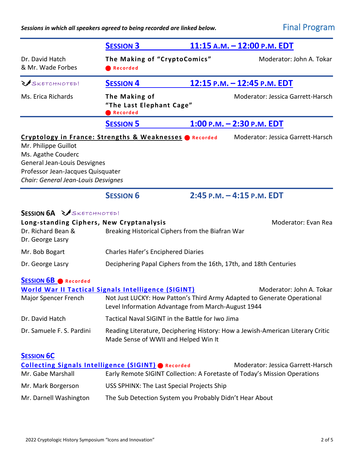*Sessions in which all speakers agreed to being recorded are linked below.* Final Program

|                                                                                                                                                        | <b>SESSION 3</b>                                                                                                                                                                            | 11:15 A.M. - 12:00 P.M. EDT       |  |
|--------------------------------------------------------------------------------------------------------------------------------------------------------|---------------------------------------------------------------------------------------------------------------------------------------------------------------------------------------------|-----------------------------------|--|
| Dr. David Hatch<br>& Mr. Wade Forbes                                                                                                                   | The Making of "CryptoComics"<br>Recorded                                                                                                                                                    | Moderator: John A. Tokar          |  |
| SKETCHNOTED!                                                                                                                                           | 12:15 P.M. - 12:45 P.M. EDT<br><b>SESSION 4</b>                                                                                                                                             |                                   |  |
| Ms. Erica Richards                                                                                                                                     | The Making of<br>"The Last Elephant Cage"<br><b>Recorded</b>                                                                                                                                | Moderator: Jessica Garrett-Harsch |  |
|                                                                                                                                                        | <b>SESSION 5</b>                                                                                                                                                                            | $1:00$ P.M. $-2:30$ P.M. EDT      |  |
| Mr. Philippe Guillot<br>Ms. Agathe Couderc<br>General Jean-Louis Desvignes<br>Professor Jean-Jacques Quisquater<br>Chair: General Jean-Louis Desvignes | Cryptology in France: Strengths & Weaknesses CRecorded                                                                                                                                      | Moderator: Jessica Garrett-Harsch |  |
|                                                                                                                                                        | <b>SESSION 6</b>                                                                                                                                                                            | 2:45 P.M. - 4:15 P.M. EDT         |  |
| <b>SESSION 6A &amp; SKETCHNOTED!</b><br>Long-standing Ciphers, New Cryptanalysis<br>Dr. Richard Bean &<br>Dr. George Lasry                             | Breaking Historical Ciphers from the Biafran War                                                                                                                                            | Moderator: Evan Rea               |  |
| Mr. Bob Bogart                                                                                                                                         | <b>Charles Hafer's Enciphered Diaries</b>                                                                                                                                                   |                                   |  |
| Dr. George Lasry                                                                                                                                       | Deciphering Papal Ciphers from the 16th, 17th, and 18th Centuries                                                                                                                           |                                   |  |
| <b>SESSION 6B Recorded</b><br>Major Spencer French                                                                                                     | <b>World War II Tactical Signals Intelligence (SIGINT)</b><br>Not Just LUCKY: How Patton's Third Army Adapted to Generate Operational<br>Level Information Advantage from March-August 1944 | Moderator: John A. Tokar          |  |
| Dr. David Hatch                                                                                                                                        | Tactical Naval SIGINT in the Battle for Iwo Jima                                                                                                                                            |                                   |  |
| Dr. Samuele F. S. Pardini                                                                                                                              | Reading Literature, Deciphering History: How a Jewish-American Literary Critic<br>Made Sense of WWII and Helped Win It                                                                      |                                   |  |
| <b>SESSION 6C</b><br>Mr. Gabe Marshall                                                                                                                 | <b>Collecting Signals Intelligence (SIGINT) @ Recorded</b><br>Early Remote SIGINT Collection: A Foretaste of Today's Mission Operations                                                     | Moderator: Jessica Garrett-Harsch |  |
| Mr. Mark Borgerson                                                                                                                                     | USS SPHINX: The Last Special Projects Ship                                                                                                                                                  |                                   |  |
| Mr. Darnell Washington                                                                                                                                 | The Sub Detection System you Probably Didn't Hear About                                                                                                                                     |                                   |  |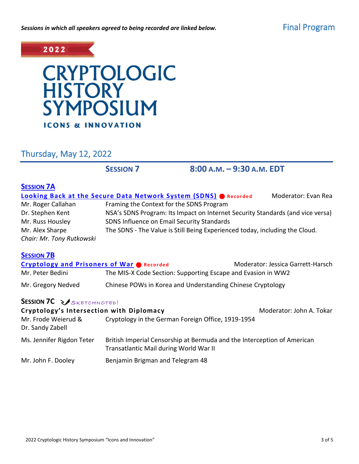

# **CRYPTOLOGIC<br>HISTORY** SYMPOSIUM **ICONS & INNOVATION**

Thursday, May 12, 2022

**SESSION 7 8:00 A.M. – 9:30 A.M. EDT**

| <b>SESSION 7A</b>                                |                                                                                                                   |                                   |  |
|--------------------------------------------------|-------------------------------------------------------------------------------------------------------------------|-----------------------------------|--|
|                                                  | <b>Looking Back at the Secure Data Network System (SDNS) @ Recorded</b>                                           | Moderator: Evan Rea               |  |
| Mr. Roger Callahan                               | Framing the Context for the SDNS Program                                                                          |                                   |  |
| Dr. Stephen Kent                                 | NSA's SDNS Program: Its Impact on Internet Security Standards (and vice versa)                                    |                                   |  |
| Mr. Russ Housley                                 | SDNS Influence on Email Security Standards                                                                        |                                   |  |
| Mr. Alex Sharpe                                  | The SDNS - The Value is Still Being Experienced today, including the Cloud.                                       |                                   |  |
| Chair: Mr. Tony Rutkowski                        |                                                                                                                   |                                   |  |
| <b>SESSION 7B</b>                                |                                                                                                                   |                                   |  |
| <b>Cryptology and Prisoners of War Onecorded</b> |                                                                                                                   | Moderator: Jessica Garrett-Harsch |  |
| Mr. Peter Bedini                                 | The MIS-X Code Section: Supporting Escape and Evasion in WW2                                                      |                                   |  |
| Mr. Gregory Nedved                               | Chinese POWs in Korea and Understanding Chinese Cryptology                                                        |                                   |  |
| <b>SESSION 7C &amp; SKETCHNOTED!</b>             |                                                                                                                   |                                   |  |
| Cryptology's Intersection with Diplomacy         |                                                                                                                   | Moderator: John A. Tokar          |  |
| Mr. Frode Weierud &<br>Dr. Sandy Zabell          | Cryptology in the German Foreign Office, 1919-1954                                                                |                                   |  |
| Ms. Jennifer Rigdon Teter                        | British Imperial Censorship at Bermuda and the Interception of American<br>Transatlantic Mail during World War II |                                   |  |
| Mr. John F. Dooley                               | Benjamin Brigman and Telegram 48                                                                                  |                                   |  |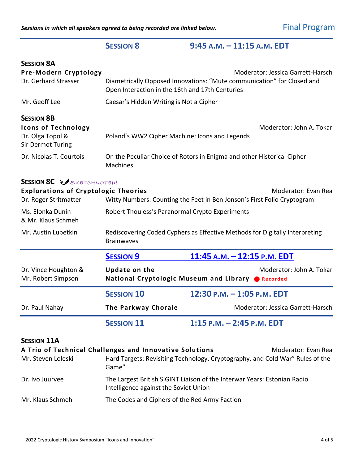## **SESSION 8 9:45 A.M. – 11:15 A.M. EDT**

| <b>SESSION 8A</b>                                                                               |                                                                                                                                                                |                                                                                                      |  |  |  |
|-------------------------------------------------------------------------------------------------|----------------------------------------------------------------------------------------------------------------------------------------------------------------|------------------------------------------------------------------------------------------------------|--|--|--|
| Pre-Modern Cryptology<br>Dr. Gerhard Strasser                                                   | Moderator: Jessica Garrett-Harsch<br>Diametrically Opposed Innovations: "Mute communication" for Closed and<br>Open Interaction in the 16th and 17th Centuries |                                                                                                      |  |  |  |
| Mr. Geoff Lee                                                                                   | Caesar's Hidden Writing is Not a Cipher                                                                                                                        |                                                                                                      |  |  |  |
| <b>SESSION 8B</b><br><b>Icons of Technology</b><br>Dr. Olga Topol &<br><b>Sir Dermot Turing</b> | Moderator: John A. Tokar<br>Poland's WW2 Cipher Machine: Icons and Legends                                                                                     |                                                                                                      |  |  |  |
| Dr. Nicolas T. Courtois                                                                         | On the Peculiar Choice of Rotors in Enigma and other Historical Cipher<br>Machines                                                                             |                                                                                                      |  |  |  |
| <b>SESSION 8C ZASKETCHNOTED!</b>                                                                |                                                                                                                                                                |                                                                                                      |  |  |  |
| <b>Explorations of Cryptologic Theories</b><br>Dr. Roger Stritmatter                            | Moderator: Evan Rea<br>Witty Numbers: Counting the Feet in Ben Jonson's First Folio Cryptogram                                                                 |                                                                                                      |  |  |  |
| Ms. Elonka Dunin<br>& Mr. Klaus Schmeh                                                          | Robert Thouless's Paranormal Crypto Experiments                                                                                                                |                                                                                                      |  |  |  |
| Mr. Austin Lubetkin                                                                             | Rediscovering Coded Cyphers as Effective Methods for Digitally Interpreting<br><b>Brainwaves</b>                                                               |                                                                                                      |  |  |  |
|                                                                                                 | <b>SESSION 9</b>                                                                                                                                               | 11:45 A.M. - 12:15 P.M. EDT                                                                          |  |  |  |
| Dr. Vince Houghton &<br>Mr. Robert Simpson                                                      | <b>Update on the</b>                                                                                                                                           | Moderator: John A. Tokar<br>National Cryptologic Museum and Library CRecorded                        |  |  |  |
|                                                                                                 | <b>SESSION 10</b>                                                                                                                                              | 12:30 P.M. - 1:05 P.M. EDT                                                                           |  |  |  |
| Dr. Paul Nahay                                                                                  | <b>The Parkway Chorale</b>                                                                                                                                     | Moderator: Jessica Garrett-Harsch                                                                    |  |  |  |
|                                                                                                 | <b>SESSION 11</b>                                                                                                                                              | 1:15 p.m. - 2:45 p.m. EDT                                                                            |  |  |  |
| <b>SESSION 11A</b><br>Mr. Steven Loleski                                                        | A Trio of Technical Challenges and Innovative Solutions<br>Game"                                                                                               | Moderator: Evan Rea<br>Hard Targets: Revisiting Technology, Cryptography, and Cold War" Rules of the |  |  |  |
| Dr. Ivo Juurvee                                                                                 | The Largest British SIGINT Liaison of the Interwar Years: Estonian Radio<br>Intelligence against the Soviet Union                                              |                                                                                                      |  |  |  |

Mr. Klaus Schmeh The Codes and Ciphers of the Red Army Faction